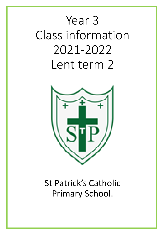# Year 3 Class information 2021-2022 Lent term 2



# St Patrick's Catholic Primary School.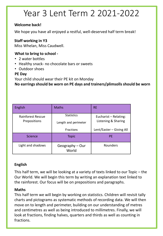# Year 3 Lent Term 2 2021-2022

### **Welcome back!**

We hope you have all enjoyed a restful, well-deserved half term break!

### **Staff working in Y3**

Miss Whelan, Miss Caudwell.

#### **What to bring to school -**

- 2 water bottles
- Healthy snack- no chocolate bars or sweets
- Outdoor shoes

#### **PE Day**

Your child should wear their PE kit on Monday

**No earrings should be worn on PE days and trainers/plimsolls should be worn**

| English                                  | <b>Maths</b>                              | <b>RE</b>                                    |
|------------------------------------------|-------------------------------------------|----------------------------------------------|
| <b>Rainforest Rescue</b><br>Prepositions | <b>Statistics</b><br>Length and perimeter | Eucharist - Relating:<br>Listening & Sharing |
|                                          | <b>Fractions</b>                          | Lent/Easter - Giving All                     |
| <b>Science</b>                           | <b>Topic</b>                              | <b>PE</b>                                    |
| Light and shadows                        | Geography - Our<br>World                  | Rounders                                     |

### **English**

This half term, we will be looking at a variety of texts linked to our Topic – the Our World. We will begin this term by writing an explanation text linked to the rainforest. Our focus will be on prepositions and paragraphs.

### **Maths**

This half term we will begin by working on statistics. Children will revisit tally charts and pictograms as systematic methods of recording data. We will then move on to length and perimeter, building on our understanding of metres and centimetres as well as being introduced to millimetres. Finally, we will look at fractions, finding halves, quarters and thirds as well as counting in fractions.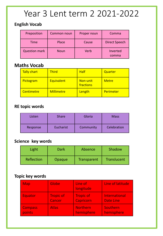# Year 3 Lent term 2 2021-2022

## **English Vocab**

| Preposition          | <b>Common noun</b> | Proper noun | Comma                |  |  |  |
|----------------------|--------------------|-------------|----------------------|--|--|--|
| Time                 | Place              | Cause       | <b>Direct Speech</b> |  |  |  |
| <b>Question mark</b> | <b>Noun</b>        | Verb        | Inverted<br>comma    |  |  |  |

# **Maths Vocab**

| Tally chart | <b>Third</b>      | <b>Half</b>           | Quarter      |
|-------------|-------------------|-----------------------|--------------|
| Pictogram   | Equivalent        | Non-unit<br>fractions | <b>Metre</b> |
| Centimetre  | <b>Millimetre</b> | Length                | Perimeter    |

## **RE topic words**

| Listen   | <b>Share</b> | Gloria    | <b>Mass</b> |  |  |  |
|----------|--------------|-----------|-------------|--|--|--|
| Response | Eucharist    | Community | Celebration |  |  |  |

# **Science key words**

| Light      | Dark   | Absence     | Shadow             |  |  |
|------------|--------|-------------|--------------------|--|--|
| Reflection | Opaque | Transparent | <b>Translucent</b> |  |  |

### **Topic key words**

| Map            | Globe            | Line of<br>longitude | Line of latitude     |
|----------------|------------------|----------------------|----------------------|
| Equator        | <b>Tropic of</b> | <b>Tropic of</b>     | <b>International</b> |
|                | Cancer           | <b>Capricorn</b>     | <b>Date Line</b>     |
| <b>Compass</b> | <b>Atlas</b>     | <b>Northern</b>      | Southern             |
| points         |                  | hemisphere           | hemisphere           |